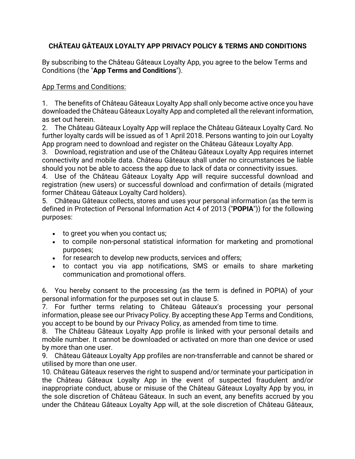## **CHÂTEAU GÂTEAUX LOYALTY APP PRIVACY POLICY & TERMS AND CONDITIONS**

By subscribing to the Château Gâteaux Loyalty App, you agree to the below Terms and Conditions (the "**App Terms and Conditions**").

## App Terms and Conditions:

1. The benefits of Château Gâteaux Loyalty App shall only become active once you have downloaded the Château Gâteaux Loyalty App and completed all the relevant information, as set out herein.

2. The Château Gâteaux Loyalty App will replace the Château Gâteaux Loyalty Card. No further loyalty cards will be issued as of 1 April 2018. Persons wanting to join our Loyalty App program need to download and register on the Château Gâteaux Loyalty App.

3. Download, registration and use of the Château Gâteaux Loyalty App requires internet connectivity and mobile data. Château Gâteaux shall under no circumstances be liable should you not be able to access the app due to lack of data or connectivity issues.

4. Use of the Château Gâteaux Loyalty App will require successful download and registration (new users) or successful download and confirmation of details (migrated former Château Gâteaux Loyalty Card holders).

5. Château Gâteaux collects, stores and uses your personal information (as the term is defined in Protection of Personal Information Act 4 of 2013 ("**POPIA**")) for the following purposes:

- to greet you when you contact us;
- to compile non-personal statistical information for marketing and promotional purposes;
- for research to develop new products, services and offers;
- to contact you via app notifications, SMS or emails to share marketing communication and promotional offers.

6. You hereby consent to the processing (as the term is defined in POPIA) of your personal information for the purposes set out in clause 5.

7. For further terms relating to Château Gâteaux's processing your personal information, please see our Privacy Policy. By accepting these App Terms and Conditions, you accept to be bound by our Privacy Policy, as amended from time to time.

8. The Château Gâteaux Loyalty App profile is linked with your personal details and mobile number. It cannot be downloaded or activated on more than one device or used by more than one user.

9. Château Gâteaux Loyalty App profiles are non-transferrable and cannot be shared or utilised by more than one user.

10. Château Gâteaux reserves the right to suspend and/or terminate your participation in the Château Gâteaux Loyalty App in the event of suspected fraudulent and/or inappropriate conduct, abuse or misuse of the Château Gâteaux Loyalty App by you, in the sole discretion of Château Gâteaux. In such an event, any benefits accrued by you under the Château Gâteaux Loyalty App will, at the sole discretion of Château Gâteaux,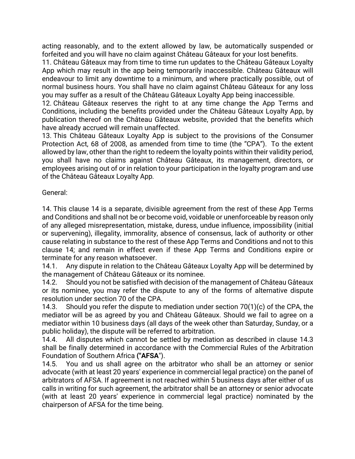acting reasonably, and to the extent allowed by law, be automatically suspended or forfeited and you will have no claim against Château Gâteaux for your lost benefits.

11. Château Gâteaux may from time to time run updates to the Château Gâteaux Loyalty App which may result in the app being temporarily inaccessible. Château Gâteaux will endeavour to limit any downtime to a minimum, and where practically possible, out of normal business hours. You shall have no claim against Château Gâteaux for any loss you may suffer as a result of the Château Gâteaux Loyalty App being inaccessible.

12. Château Gâteaux reserves the right to at any time change the App Terms and Conditions, including the benefits provided under the Château Gâteaux Loyalty App, by publication thereof on the Château Gâteaux website, provided that the benefits which have already accrued will remain unaffected.

13. This Château Gâteaux Loyalty App is subject to the provisions of the Consumer Protection Act, 68 of 2008, as amended from time to time (the "CPA"). To the extent allowed by law, other than the right to redeem the loyalty points within their validity period, you shall have no claims against Château Gâteaux, its management, directors, or employees arising out of or in relation to your participation in the loyalty program and use of the Château Gâteaux Loyalty App*.*

General:

14. This clause 14 is a separate, divisible agreement from the rest of these App Terms and Conditions and shall not be or become void, voidable or unenforceable by reason only of any alleged misrepresentation, mistake, duress, undue influence, impossibility (initial or supervening), illegality, immorality, absence of consensus, lack of authority or other cause relating in substance to the rest of these App Terms and Conditions and not to this clause 14; and remain in effect even if these App Terms and Conditions expire or terminate for any reason whatsoever.

14.1. Any dispute in relation to the Château Gâteaux Loyalty App will be determined by the management of Château Gâteaux or its nominee.

14.2. Should you not be satisfied with decision of the management of Château Gâteaux or its nominee, you may refer the dispute to any of the forms of alternative dispute resolution under section 70 of the CPA.

14.3. Should you refer the dispute to mediation under section 70(1)(c) of the CPA, the mediator will be as agreed by you and Château Gâteaux. Should we fail to agree on a mediator within 10 business days (all days of the week other than Saturday, Sunday, or a public holiday), the dispute will be referred to arbitration.

14.4. All disputes which cannot be settled by mediation as described in clause 14.3 shall be finally determined in accordance with the Commercial Rules of the Arbitration Foundation of Southern Africa **("AFSA**").

14.5. You and us shall agree on the arbitrator who shall be an attorney or senior advocate (with at least 20 years' experience in commercial legal practice) on the panel of arbitrators of AFSA. If agreement is not reached within 5 business days after either of us calls in writing for such agreement, the arbitrator shall be an attorney or senior advocate (with at least 20 years' experience in commercial legal practice) nominated by the chairperson of AFSA for the time being.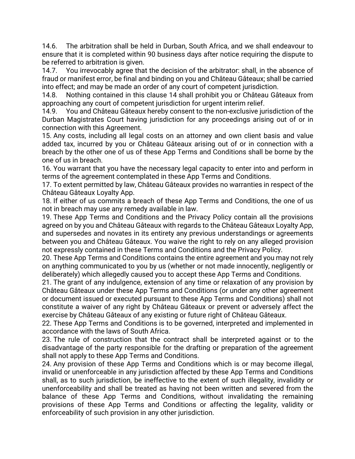14.6. The arbitration shall be held in Durban, South Africa, and we shall endeavour to ensure that it is completed within 90 business days after notice requiring the dispute to be referred to arbitration is given.

14.7. You irrevocably agree that the decision of the arbitrator: shall, in the absence of fraud or manifest error, be final and binding on you and Château Gâteaux; shall be carried into effect; and may be made an order of any court of competent jurisdiction.

14.8. Nothing contained in this clause 14 shall prohibit you or Château Gâteaux from approaching any court of competent jurisdiction for urgent interim relief.

14.9. You and Château Gâteaux hereby consent to the non-exclusive jurisdiction of the Durban Magistrates Court having jurisdiction for any proceedings arising out of or in connection with this Agreement.

15. Any costs, including all legal costs on an attorney and own client basis and value added tax, incurred by you or Château Gâteaux arising out of or in connection with a breach by the other one of us of these App Terms and Conditions shall be borne by the one of us in breach.

16. You warrant that you have the necessary legal capacity to enter into and perform in terms of the agreement contemplated in these App Terms and Conditions.

17. To extent permitted by law, Château Gâteaux provides no warranties in respect of the Château Gâteaux Loyalty App.

18. If either of us commits a breach of these App Terms and Conditions, the one of us not in breach may use any remedy available in law.

19. These App Terms and Conditions and the Privacy Policy contain all the provisions agreed on by you and Château Gâteaux with regards to the Château Gâteaux Loyalty App, and supersedes and novates in its entirety any previous understandings or agreements between you and Château Gâteaux. You waive the right to rely on any alleged provision not expressly contained in these Terms and Conditions and the Privacy Policy.

20. These App Terms and Conditions contains the entire agreement and you may not rely on anything communicated to you by us (whether or not made innocently, negligently or deliberately) which allegedly caused you to accept these App Terms and Conditions.

21. The grant of any indulgence, extension of any time or relaxation of any provision by Château Gâteaux under these App Terms and Conditions (or under any other agreement or document issued or executed pursuant to these App Terms and Conditions) shall not constitute a waiver of any right by Château Gâteaux or prevent or adversely affect the exercise by Château Gâteaux of any existing or future right of Château Gâteaux.

22. These App Terms and Conditions is to be governed, interpreted and implemented in accordance with the laws of South Africa.

23. The rule of construction that the contract shall be interpreted against or to the disadvantage of the party responsible for the drafting or preparation of the agreement shall not apply to these App Terms and Conditions.

24. Any provision of these App Terms and Conditions which is or may become illegal, invalid or unenforceable in any jurisdiction affected by these App Terms and Conditions shall, as to such jurisdiction, be ineffective to the extent of such illegality, invalidity or unenforceability and shall be treated as having not been written and severed from the balance of these App Terms and Conditions, without invalidating the remaining provisions of these App Terms and Conditions or affecting the legality, validity or enforceability of such provision in any other jurisdiction.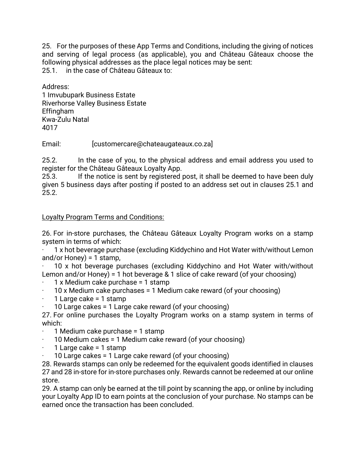25. For the purposes of these App Terms and Conditions, including the giving of notices and serving of legal process (as applicable), you and Château Gâteaux choose the following physical addresses as the place legal notices may be sent: 25.1. in the case of Château Gâteaux to:

Address: 1 Imvubupark Business Estate Riverhorse Valley Business Estate Effingham Kwa-Zulu Natal 4017

Email: [customercare@chateaugateaux.co.za]

25.2. In the case of you, to the physical address and email address you used to register for the Château Gâteaux Loyalty App.

25.3. If the notice is sent by registered post, it shall be deemed to have been duly given 5 business days after posting if posted to an address set out in clauses 25.1 and 25.2.

## Loyalty Program Terms and Conditions:

26. For in-store purchases, the Château Gâteaux Loyalty Program works on a stamp system in terms of which:

· 1 x hot beverage purchase (excluding Kiddychino and Hot Water with/without Lemon and/or Honey) = 1 stamp,

· 10 x hot beverage purchases (excluding Kiddychino and Hot Water with/without Lemon and/or Honey) = 1 hot beverage & 1 slice of cake reward (of your choosing)

- · 1 x Medium cake purchase = 1 stamp
- · 10 x Medium cake purchases = 1 Medium cake reward (of your choosing)
- · 1 Large cake = 1 stamp
- · 10 Large cakes = 1 Large cake reward (of your choosing)

27. For online purchases the Loyalty Program works on a stamp system in terms of which:

- · 1 Medium cake purchase = 1 stamp
- · 10 Medium cakes = 1 Medium cake reward (of your choosing)
- $\cdot$  1 Large cake = 1 stamp
- · 10 Large cakes = 1 Large cake reward (of your choosing)

28. Rewards stamps can only be redeemed for the equivalent goods identified in clauses 27 and 28 in-store for in-store purchases only. Rewards cannot be redeemed at our online store.

29. A stamp can only be earned at the till point by scanning the app, or online by including your Loyalty App ID to earn points at the conclusion of your purchase. No stamps can be earned once the transaction has been concluded.